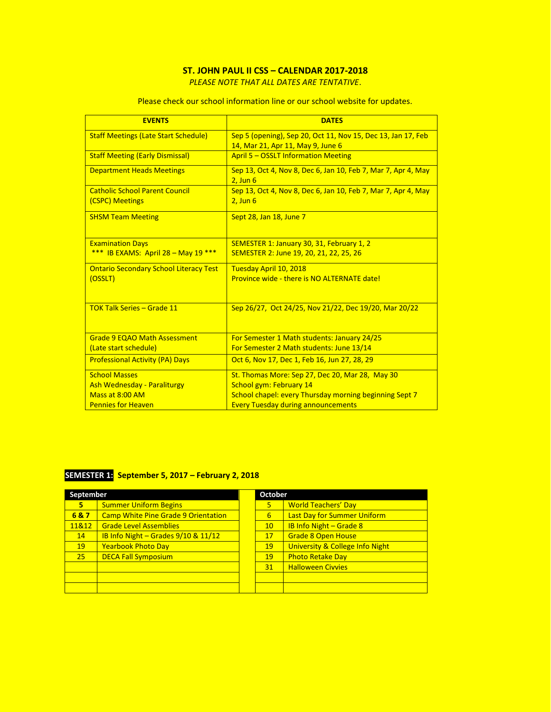## **ST. JOHN PAUL II CSS – CALENDAR 2017-2018**

*PLEASE NOTE THAT ALL DATES ARE TENTATIVE*.

| <b>EVENTS</b>                                 | <b>DATES</b>                                                  |
|-----------------------------------------------|---------------------------------------------------------------|
| <b>Staff Meetings (Late Start Schedule)</b>   | Sep 5 (opening), Sep 20, Oct 11, Nov 15, Dec 13, Jan 17, Feb  |
|                                               | 14, Mar 21, Apr 11, May 9, June 6                             |
| <b>Staff Meeting (Early Dismissal)</b>        | <b>April 5 - OSSLT Information Meeting</b>                    |
| <b>Department Heads Meetings</b>              | Sep 13, Oct 4, Nov 8, Dec 6, Jan 10, Feb 7, Mar 7, Apr 4, May |
|                                               | $2.$ Jun $6$                                                  |
| <b>Catholic School Parent Council</b>         | Sep 13, Oct 4, Nov 8, Dec 6, Jan 10, Feb 7, Mar 7, Apr 4, May |
| (CSPC) Meetings                               | $2,$ Jun $6$                                                  |
| <b>SHSM Team Meeting</b>                      | Sept 28, Jan 18, June 7                                       |
|                                               |                                                               |
| <b>Examination Days</b>                       | SEMESTER 1: January 30, 31, February 1, 2                     |
| *** IB EXAMS: April $28 -$ May 19 ***         | SEMESTER 2: June 19, 20, 21, 22, 25, 26                       |
| <b>Ontario Secondary School Literacy Test</b> | Tuesday April 10, 2018                                        |
| (OSSLT)                                       | Province wide - there is NO ALTERNATE date!                   |
|                                               |                                                               |
|                                               |                                                               |
| <b>TOK Talk Series - Grade 11</b>             | Sep 26/27, Oct 24/25, Nov 21/22, Dec 19/20, Mar 20/22         |
|                                               |                                                               |
| <b>Grade 9 EQAO Math Assessment</b>           | For Semester 1 Math students: January 24/25                   |
| (Late start schedule)                         | For Semester 2 Math students: June 13/14                      |
| <b>Professional Activity (PA) Days</b>        | Oct 6, Nov 17, Dec 1, Feb 16, Jun 27, 28, 29                  |
| <b>School Masses</b>                          | St. Thomas More: Sep 27, Dec 20, Mar 28, May 30               |
| <b>Ash Wednesday - Paraliturgy</b>            | <b>School gym: February 14</b>                                |
| Mass at 8:00 AM                               | School chapel: every Thursday morning beginning Sept 7        |
| <b>Pennies for Heaven</b>                     | <b>Every Tuesday during announcements</b>                     |

Please check our school information line or our school website for updates.

## **SEMESTER 1: September 5, 2017 – February 2, 2018**

| September |                                            | October |                 |                                    |
|-----------|--------------------------------------------|---------|-----------------|------------------------------------|
| 5         | <b>Summer Uniform Begins</b>               |         | 5               | <b>World Teachers' Day</b>         |
| 6&7       | <b>Camp White Pine Grade 9 Orientation</b> |         | 6               | <b>Last Day for Summer Uniform</b> |
| 11&12     | <b>Grade Level Assemblies</b>              |         | 10 <sup>°</sup> | <b>IB Info Night - Grade 8</b>     |
| 14        | IB Info Night - Grades 9/10 & 11/12        |         | 17              | <b>Grade 8 Open House</b>          |
| 19        | <b>Yearbook Photo Day</b>                  |         | 19              | University & College Info Night    |
| 25        | <b>DECA Fall Symposium</b>                 |         | 19              | <b>Photo Retake Day</b>            |
|           |                                            |         | 31              | <b>Halloween Civvies</b>           |
|           |                                            |         |                 |                                    |
|           |                                            |         |                 |                                    |